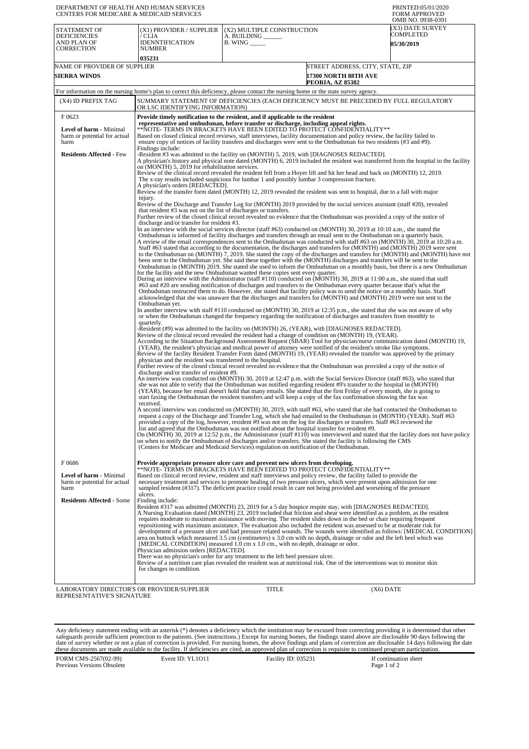| DEPARTMENT OF HEALTH AND HUMAN SERVICES<br>CENTERS FOR MEDICARE & MEDICAID SERVICES |                                                                                                                                                                                                                                                                                                                                                                                                                                                                                                                                                                                                                                                                                                                                                                                                                                                                                                                                                                                                                                                                                                                                                                                                                                                                                                                                                                                                                                                                                                                                                                                                                                                                                                                                                                                                                                                                                                                                                                                                                                                                                                                                                                                                                                                                                                                                                                                                                                                                                                                                                                                                                                                                                                                                                                                                                                                                                                                                                                                                                                                                                                                                                                                                                                                                                                                                                                   |                                                                                                                                                                                                                                                                                                                                                                                                                                                                                                                                                                                                                                                                                                                                                                                                                                                                                                                                                                                                                                                                                                                                                                                                                                                                                                                                                                                                                                                                                                                                                                                           |                                                                                            | PRINTED:05/01/2020<br><b>FORM APPROVED</b><br>OMB NO. 0938-0391                                                           |  |
|-------------------------------------------------------------------------------------|-------------------------------------------------------------------------------------------------------------------------------------------------------------------------------------------------------------------------------------------------------------------------------------------------------------------------------------------------------------------------------------------------------------------------------------------------------------------------------------------------------------------------------------------------------------------------------------------------------------------------------------------------------------------------------------------------------------------------------------------------------------------------------------------------------------------------------------------------------------------------------------------------------------------------------------------------------------------------------------------------------------------------------------------------------------------------------------------------------------------------------------------------------------------------------------------------------------------------------------------------------------------------------------------------------------------------------------------------------------------------------------------------------------------------------------------------------------------------------------------------------------------------------------------------------------------------------------------------------------------------------------------------------------------------------------------------------------------------------------------------------------------------------------------------------------------------------------------------------------------------------------------------------------------------------------------------------------------------------------------------------------------------------------------------------------------------------------------------------------------------------------------------------------------------------------------------------------------------------------------------------------------------------------------------------------------------------------------------------------------------------------------------------------------------------------------------------------------------------------------------------------------------------------------------------------------------------------------------------------------------------------------------------------------------------------------------------------------------------------------------------------------------------------------------------------------------------------------------------------------------------------------------------------------------------------------------------------------------------------------------------------------------------------------------------------------------------------------------------------------------------------------------------------------------------------------------------------------------------------------------------------------------------------------------------------------------------------------------------------------|-------------------------------------------------------------------------------------------------------------------------------------------------------------------------------------------------------------------------------------------------------------------------------------------------------------------------------------------------------------------------------------------------------------------------------------------------------------------------------------------------------------------------------------------------------------------------------------------------------------------------------------------------------------------------------------------------------------------------------------------------------------------------------------------------------------------------------------------------------------------------------------------------------------------------------------------------------------------------------------------------------------------------------------------------------------------------------------------------------------------------------------------------------------------------------------------------------------------------------------------------------------------------------------------------------------------------------------------------------------------------------------------------------------------------------------------------------------------------------------------------------------------------------------------------------------------------------------------|--------------------------------------------------------------------------------------------|---------------------------------------------------------------------------------------------------------------------------|--|
| <b>STATEMENT OF</b><br><b>DEFICIENCIES</b><br>AND PLAN OF<br>CORRECTION             | (X1) PROVIDER / SUPPLIER<br>/ CLIA<br><b>IDENNTIFICATION</b><br><b>NUMBER</b><br>035231                                                                                                                                                                                                                                                                                                                                                                                                                                                                                                                                                                                                                                                                                                                                                                                                                                                                                                                                                                                                                                                                                                                                                                                                                                                                                                                                                                                                                                                                                                                                                                                                                                                                                                                                                                                                                                                                                                                                                                                                                                                                                                                                                                                                                                                                                                                                                                                                                                                                                                                                                                                                                                                                                                                                                                                                                                                                                                                                                                                                                                                                                                                                                                                                                                                                           | (X2) MULTIPLE CONSTRUCTION<br>A. BUILDING<br>$B.$ WING $\_\_\_\_\_\_\_\$                                                                                                                                                                                                                                                                                                                                                                                                                                                                                                                                                                                                                                                                                                                                                                                                                                                                                                                                                                                                                                                                                                                                                                                                                                                                                                                                                                                                                                                                                                                  |                                                                                            | (X3) DATE SURVEY<br>COMPLETED<br>05/30/2019                                                                               |  |
| NAME OF PROVIDER OF SUPPLIER<br><b>SIERRA WINDS</b>                                 |                                                                                                                                                                                                                                                                                                                                                                                                                                                                                                                                                                                                                                                                                                                                                                                                                                                                                                                                                                                                                                                                                                                                                                                                                                                                                                                                                                                                                                                                                                                                                                                                                                                                                                                                                                                                                                                                                                                                                                                                                                                                                                                                                                                                                                                                                                                                                                                                                                                                                                                                                                                                                                                                                                                                                                                                                                                                                                                                                                                                                                                                                                                                                                                                                                                                                                                                                                   |                                                                                                                                                                                                                                                                                                                                                                                                                                                                                                                                                                                                                                                                                                                                                                                                                                                                                                                                                                                                                                                                                                                                                                                                                                                                                                                                                                                                                                                                                                                                                                                           | STREET ADDRESS, CITY, STATE, ZIP<br><b>17300 NORTH 88TH AVE</b><br><b>PEORIA, AZ 85382</b> |                                                                                                                           |  |
|                                                                                     | For information on the nursing home's plan to correct this deficiency, please contact the nursing home or the state survey agency.                                                                                                                                                                                                                                                                                                                                                                                                                                                                                                                                                                                                                                                                                                                                                                                                                                                                                                                                                                                                                                                                                                                                                                                                                                                                                                                                                                                                                                                                                                                                                                                                                                                                                                                                                                                                                                                                                                                                                                                                                                                                                                                                                                                                                                                                                                                                                                                                                                                                                                                                                                                                                                                                                                                                                                                                                                                                                                                                                                                                                                                                                                                                                                                                                                |                                                                                                                                                                                                                                                                                                                                                                                                                                                                                                                                                                                                                                                                                                                                                                                                                                                                                                                                                                                                                                                                                                                                                                                                                                                                                                                                                                                                                                                                                                                                                                                           |                                                                                            |                                                                                                                           |  |
| (X4) ID PREFIX TAG                                                                  | SUMMARY STATEMENT OF DEFICIENCIES (EACH DEFICIENCY MUST BE PRECEDED BY FULL REGULATORY<br>OR LSC IDENTIFYING INFORMATION)                                                                                                                                                                                                                                                                                                                                                                                                                                                                                                                                                                                                                                                                                                                                                                                                                                                                                                                                                                                                                                                                                                                                                                                                                                                                                                                                                                                                                                                                                                                                                                                                                                                                                                                                                                                                                                                                                                                                                                                                                                                                                                                                                                                                                                                                                                                                                                                                                                                                                                                                                                                                                                                                                                                                                                                                                                                                                                                                                                                                                                                                                                                                                                                                                                         |                                                                                                                                                                                                                                                                                                                                                                                                                                                                                                                                                                                                                                                                                                                                                                                                                                                                                                                                                                                                                                                                                                                                                                                                                                                                                                                                                                                                                                                                                                                                                                                           |                                                                                            |                                                                                                                           |  |
| F0623<br>Level of harm - Minimal<br>harm or potential for actual                    | Provide timely notification to the resident, and if applicable to the resident<br>representative and ombudsman, before transfer or discharge, including appeal rights.<br>**NOTE- TERMS IN BRACKETS HAVE BEEN EDITED TO PROTECT CONFIDENTIALITY**<br>Based on closed clinical record reviews, staff interviews, facility documentation and policy review, the facility failed to<br>ensure copy of notices of facility transfers and discharges were sent to the Ombudsman for two residents (#3 and #9).                                                                                                                                                                                                                                                                                                                                                                                                                                                                                                                                                                                                                                                                                                                                                                                                                                                                                                                                                                                                                                                                                                                                                                                                                                                                                                                                                                                                                                                                                                                                                                                                                                                                                                                                                                                                                                                                                                                                                                                                                                                                                                                                                                                                                                                                                                                                                                                                                                                                                                                                                                                                                                                                                                                                                                                                                                                         |                                                                                                                                                                                                                                                                                                                                                                                                                                                                                                                                                                                                                                                                                                                                                                                                                                                                                                                                                                                                                                                                                                                                                                                                                                                                                                                                                                                                                                                                                                                                                                                           |                                                                                            |                                                                                                                           |  |
| harm<br><b>Residents Affected - Few</b>                                             | Findings include:<br>-Resident #3 was admitted to the facility on (MONTH) 5, 2019, with [DIAGNOSES REDACTED].<br>A physician's history and physical note dated (MONTH) 6, 2019 included the resident was transferred from the hospital to the facility<br>on (MONTH) 5, 2019 for rehabilitation services.<br>Review of the clinical record revealed the resident fell from a Hoyer lift and hit her head and back on (MONTH) 12, 2019.<br>A physician's orders [REDACTED].<br>Review of the transfer form dated (MONTH) 12, 2019 revealed the resident was sent to hospital, due to a fall with major<br>injury.<br>Review of the Discharge and Transfer Log for (MONTH) 2019 provided by the social services assistant (staff #20), revealed<br>that resident #3 was not on the list of discharges or transfers.<br>Further review of the closed clinical record revealed no evidence that the Ombudsman was provided a copy of the notice of<br>discharge and/or transfer for resident #3.<br>In an interview with the social services director (staff #63) conducted on (MONTH) 30, 2019 at 10:10 a.m., she stated the<br>Ombudsman is informed of facility discharges and transfers through an email sent to the Ombudsman on a quarterly basis.<br>A review of the email correspondences sent to the Ombudsman was conducted with staff #63 on (MONTH) 30, 2019 at 10:20 a.m.<br>for the facility and the new Ombudsman wanted these copies sent every quarter.<br>During an interview with the Administrator (staff #110) conducted on (MONTH) 30, 2019 at 11:00 a.m., she stated that staff<br>Ombudsman yet.<br>In another interview with staff #110 conducted on (MONTH) 30, 2019 at 12:35 p.m., she stated that she was not aware of why<br>quarterly.<br>-Resident (#9) was admitted to the facility on (MONTH) 26, (YEAR), with [DIAGNOSES REDACTED].<br>Review of the clinical record revealed the resident had a change of condition on (MONTH) 19, (YEAR).<br>According to the Situation Background Assessment Request (SBAR) Tool for physician/nurse communication dated (MONTH) 19,<br>Review of the facility Resident Transfer Form dated (MONTH) 19, (YEAR) revealed the transfer was approved by the primary<br>physician and the resident was transferred to the hospital.<br>Further review of the closed clinical record revealed no evidence that the Ombudsman was provided a copy of the notice of<br>discharge and/or transfer of resident #9.<br>An interview was conducted on (MONTH) 30, 2019 at 12:47 p.m. with the Social Services Director (staff #63), who stated that<br>received.<br>A second interview was conducted on (MONTH) 30, 2019, with staff #63, who stated that she had contacted the Ombudsman to<br>request a copy of the Discharge and Transfer Log, which she had emailed to the Ombudsman in (MONTH) (YEAR). Staff #63<br>provided a copy of the log, however, resident #9 was not on the log for discharges or transfers. Staff #63 reviewed the<br>list and agreed that the Ombudsman was not notified about the hospital transfer for resident #9.<br>On (MONTH) 30, 2019 at 12:52 p.m., the Administrator (staff #110) was interviewed and stated that the facility does not have policy<br>on when to notify the Ombudsman of discharges and/or transfers. She stated the facility is following the CMS | The x-ray results included suspicious for lumbar 1 and possibly lumbar 3 compression fracture.<br>Staff #63 stated that according to the documentation, the discharges and transfers for (MONTH) and (MONTH) 2019 were sent<br>been sent to the Ombudsman yet. She said these together with the (MONTH) discharges and transfers will be sent to the<br>Ombudsman in (MONTH) 2019. She stated she used to inform the Ombudsman on a monthly basis, but there is a new Ombudsman<br>#63 and #20 are sending notification of discharges and transfers to the Ombudsman every quarter because that's what the<br>Ombudsman instructed them to do. However, she stated that facility policy was to send the notice on a monthly basis. Staff<br>acknowledged that she was unaware that the discharges and transfers for (MONTH) and (MONTH) 2019 were not sent to the<br>or when the Ombudsman changed the frequency regarding the notification of discharges and transfers from monthly to<br>(YEAR), the resident's physician and medical power of attorney were notified of the resident's stroke like symptoms.<br>she was not able to verify that the Ombudsman was notified regarding resident #9's transfer to the hospital in (MONTH)<br>(YEAR), because her email doesn't hold that many emails. She stated that the first Friday of every month, she is going to<br>start faxing the Ombudsman the resident transfers and will keep a copy of the fax confirmation showing the fax was<br>(Centers for Medicare and Medicaid Services) regulation on notification of the Ombudsman. |                                                                                            | to the Ombudsman on (MONTH) 7, 2019. She stated the copy of the discharges and transfers for (MONTH) and (MONTH) have not |  |
| F0686<br>Level of harm - Minimal<br>harm or potential for actual<br>harm            | Provide appropriate pressure ulcer care and prevent new ulcers from developing.<br>**NOTE- TERMS IN BRACKETS HAVE BEEN EDITED TO PROTECT CONFIDENTIALITY**<br>Based on clinical record review, resident and staff interviews and policy review, the facility failed to provide the<br>necessary treatment and services to promote healing of two pressure ulcers, which were present upon admission for one<br>sampled resident (#317). The deficient practice could result in care not being provided and worsening of the pressure                                                                                                                                                                                                                                                                                                                                                                                                                                                                                                                                                                                                                                                                                                                                                                                                                                                                                                                                                                                                                                                                                                                                                                                                                                                                                                                                                                                                                                                                                                                                                                                                                                                                                                                                                                                                                                                                                                                                                                                                                                                                                                                                                                                                                                                                                                                                                                                                                                                                                                                                                                                                                                                                                                                                                                                                                              |                                                                                                                                                                                                                                                                                                                                                                                                                                                                                                                                                                                                                                                                                                                                                                                                                                                                                                                                                                                                                                                                                                                                                                                                                                                                                                                                                                                                                                                                                                                                                                                           |                                                                                            |                                                                                                                           |  |
| <b>Residents Affected - Some</b>                                                    | ulcers.<br>Finding include:<br>Resident #317 was admitted (MONTH) 23, 2019 for a 5 day hospice respite stay, with [DIAGNOSES REDACTED].<br>A Nursing Evaluation dated (MONTH) 23, 2019 included that friction and shear were identified as a problem, as the resident<br>requires moderate to maximum assistance with moving. The resident slides down in the bed or chair requiring frequent<br>repositioning with maximum assistance. The evaluation also included the resident was assessed to be at moderate risk for<br>development of a pressure ulcer and had pressure related wounds. The wounds were identified as follows: [MEDICAL CONDITION]<br>area on buttock which measured 3.5 cm (centimeters) x 3.0 cm with no depth, drainage or odor and the left heel which was<br>[MEDICAL CONDITION] measured 1.0 cm x 1.0 cm., with no depth, drainage or odor.<br>Physician admission orders [REDACTED].<br>There was no physician's order for any treatment to the left heel pressure ulcer.<br>Review of a nutrition care plan revealed the resident was at nutritional risk. One of the interventions was to monitor skin                                                                                                                                                                                                                                                                                                                                                                                                                                                                                                                                                                                                                                                                                                                                                                                                                                                                                                                                                                                                                                                                                                                                                                                                                                                                                                                                                                                                                                                                                                                                                                                                                                                                                                                                                                                                                                                                                                                                                                                                                                                                                                                                                                                                                             |                                                                                                                                                                                                                                                                                                                                                                                                                                                                                                                                                                                                                                                                                                                                                                                                                                                                                                                                                                                                                                                                                                                                                                                                                                                                                                                                                                                                                                                                                                                                                                                           |                                                                                            |                                                                                                                           |  |
| LABORATORY DIRECTOR'S OR PROVIDER/SUPPLIER                                          | for changes in condition.                                                                                                                                                                                                                                                                                                                                                                                                                                                                                                                                                                                                                                                                                                                                                                                                                                                                                                                                                                                                                                                                                                                                                                                                                                                                                                                                                                                                                                                                                                                                                                                                                                                                                                                                                                                                                                                                                                                                                                                                                                                                                                                                                                                                                                                                                                                                                                                                                                                                                                                                                                                                                                                                                                                                                                                                                                                                                                                                                                                                                                                                                                                                                                                                                                                                                                                                         | <b>TITLE</b>                                                                                                                                                                                                                                                                                                                                                                                                                                                                                                                                                                                                                                                                                                                                                                                                                                                                                                                                                                                                                                                                                                                                                                                                                                                                                                                                                                                                                                                                                                                                                                              |                                                                                            |                                                                                                                           |  |
| REPRESENTATIVE'S SIGNATURE                                                          |                                                                                                                                                                                                                                                                                                                                                                                                                                                                                                                                                                                                                                                                                                                                                                                                                                                                                                                                                                                                                                                                                                                                                                                                                                                                                                                                                                                                                                                                                                                                                                                                                                                                                                                                                                                                                                                                                                                                                                                                                                                                                                                                                                                                                                                                                                                                                                                                                                                                                                                                                                                                                                                                                                                                                                                                                                                                                                                                                                                                                                                                                                                                                                                                                                                                                                                                                                   |                                                                                                                                                                                                                                                                                                                                                                                                                                                                                                                                                                                                                                                                                                                                                                                                                                                                                                                                                                                                                                                                                                                                                                                                                                                                                                                                                                                                                                                                                                                                                                                           | $(X6)$ DATE                                                                                |                                                                                                                           |  |

Any deficiency statement ending with an asterisk (\*) denotes a deficiency which the institution may be excused from correcting providing it is determined that other safeguards provide sufficient protection to the patients.

FORM CMS-2567(02-99) Previous Versions Obsolete